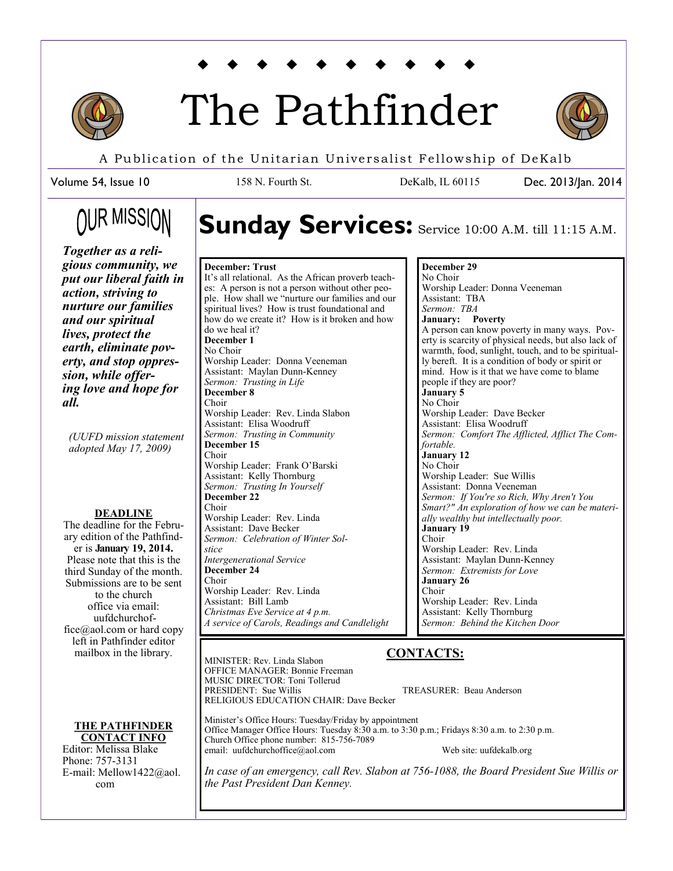

# The Pathfinder



A Publication of the Unitarian Universalist Fellowship of DeKalb

Volume 54, Issue 10

## **OUR MISSION**

## Sunday Services: Service 10:00 A.M. till 11:15 A.M.

#### *Together as a religious community, we put our liberal faith in action, striving to nurture our families and our spiritual lives, protect the earth, eliminate poverty, and stop oppression, while offering love and hope for all.*

*(UUFD mission statement adopted May 17, 2009)*

### **DEADLINE**

The deadline for the February edition of the Pathfinder is **January 19, 2014.**  Please note that this is the third Sunday of the month. Submissions are to be sent to the church office via email: uufdchurchoffice@aol.com or hard copy left in Pathfinder editor mailbox in the library.

**THE PATHFINDER CONTACT INFO**

Editor: Melissa Blake Phone: 757-3131 E-mail: Mellow1422@aol. com

#### **December: Trust** It's all relational. As the African proverb teaches: A person is not a person without other people. How shall we "nurture our families and our spiritual lives? How is trust foundational and how do we create it? How is it broken and how do we heal it? **December 1** No Choir Worship Leader: Donna Veeneman Assistant: Maylan Dunn-Kenney *Sermon: Trusting in Life* **December 8** Choir Worship Leader: Rev. Linda Slabon Assistant: Elisa Woodruff *Sermon: Trusting in Community* **December 15** Choir Worship Leader: Frank O'Barski Assistant: Kelly Thornburg *Sermon: Trusting In Yourself* **December 22** Choir Worship Leader: Rev. Linda Assistant: Dave Becker *Sermon: Celebration of Winter Solstice Intergenerational Service* **December 24** Choir Worship Leader: Rev. Linda Assistant: Bill Lamb *Christmas Eve Service at 4 p.m. A service of Carols, Readings and Candlelight*

#### **December 29** No Choir Worship Leader: Donna Veeneman Assistant: TBA *Sermon: TBA* **January: Poverty** A person can know poverty in many ways. Poverty is scarcity of physical needs, but also lack of warmth, food, sunlight, touch, and to be spiritually bereft. It is a condition of body or spirit or mind. How is it that we have come to blame people if they are poor? **January 5** No Choir Worship Leader: Dave Becker Assistant: Elisa Woodruff *Sermon: Comfort The Afflicted, Afflict The Comfortable.* **January 12** No Choir Worship Leader: Sue Willis Assistant: Donna Veeneman *Sermon: If You're so Rich, Why Aren't You Smart?" An exploration of how we can be materially wealthy but intellectually poor.* **January 19** Choir Worship Leader: Rev. Linda Assistant: Maylan Dunn-Kenney *Sermon: Extremists for Love* **January 26** Choir Worship Leader: Rev. Linda Assistant: Kelly Thornburg *Sermon: Behind the Kitchen Door*

### **CONTACTS:**

TREASURER: Beau Anderson

MINISTER: Rev. Linda Slabon OFFICE MANAGER: Bonnie Freeman MUSIC DIRECTOR: Toni Tollerud<br>PRESIDENT: Sue Willis RELIGIOUS EDUCATION CHAIR: Dave Becker

Minister's Office Hours: Tuesday/Friday by appointment Office Manager Office Hours: Tuesday 8:30 a.m. to 3:30 p.m.; Fridays 8:30 a.m. to 2:30 p.m. Church Office phone number: 815-756-7089 email: uufdchurchoffice@aol.com Web site: uufdekalb.org

*In case of an emergency, call Rev. Slabon at 756-1088, the Board President Sue Willis or the Past President Dan Kenney.*

158 N. Fourth St. DeKalb, IL 60115

Dec. 2013/Jan. 2014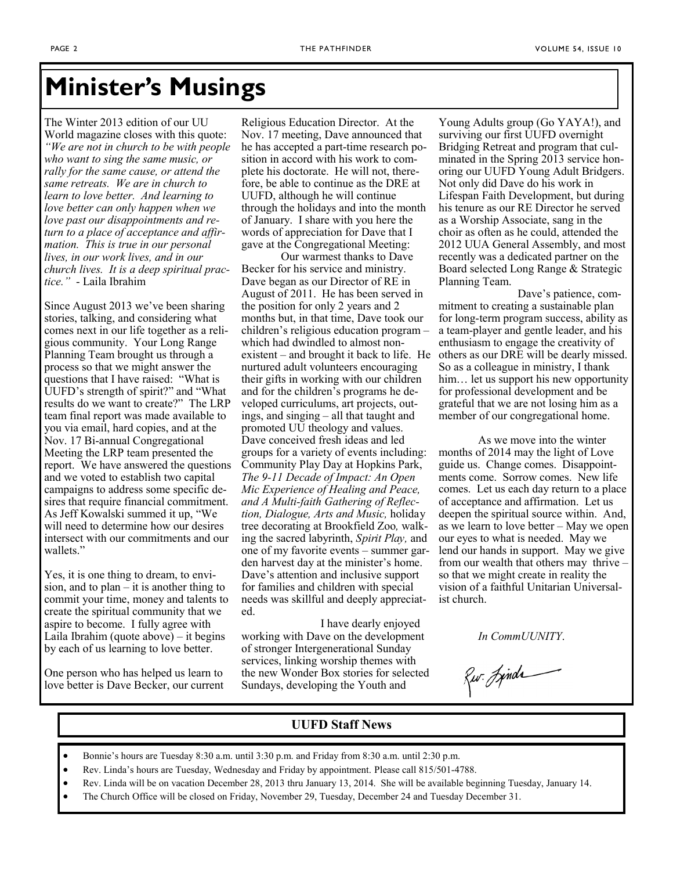## **Minister's Musings**

The Winter 2013 edition of our UU World magazine closes with this quote: *"We are not in church to be with people who want to sing the same music, or rally for the same cause, or attend the same retreats. We are in church to learn to love better. And learning to love better can only happen when we love past our disappointments and return to a place of acceptance and affirmation. This is true in our personal lives, in our work lives, and in our church lives. It is a deep spiritual practice."* - Laila Ibrahim

Since August 2013 we've been sharing stories, talking, and considering what comes next in our life together as a religious community. Your Long Range Planning Team brought us through a process so that we might answer the questions that I have raised: "What is UUFD's strength of spirit?" and "What results do we want to create?" The LRP team final report was made available to you via email, hard copies, and at the Nov. 17 Bi-annual Congregational Meeting the LRP team presented the report. We have answered the questions and we voted to establish two capital campaigns to address some specific desires that require financial commitment. As Jeff Kowalski summed it up, "We will need to determine how our desires intersect with our commitments and our wallets."

Yes, it is one thing to dream, to envision, and to plan – it is another thing to commit your time, money and talents to create the spiritual community that we aspire to become. I fully agree with Laila Ibrahim (quote above) – it begins by each of us learning to love better.

One person who has helped us learn to love better is Dave Becker, our current Religious Education Director. At the Nov. 17 meeting, Dave announced that he has accepted a part-time research position in accord with his work to complete his doctorate. He will not, therefore, be able to continue as the DRE at UUFD, although he will continue through the holidays and into the month of January. I share with you here the words of appreciation for Dave that I gave at the Congregational Meeting:

Our warmest thanks to Dave Becker for his service and ministry. Dave began as our Director of RE in August of 2011. He has been served in the position for only 2 years and 2 months but, in that time, Dave took our children's religious education program – which had dwindled to almost nonexistent – and brought it back to life. He nurtured adult volunteers encouraging their gifts in working with our children and for the children's programs he developed curriculums, art projects, outings, and singing – all that taught and promoted UU theology and values. Dave conceived fresh ideas and led groups for a variety of events including: Community Play Day at Hopkins Park, *The 9-11 Decade of Impact: An Open Mic Experience of Healing and Peace, and A Multi-faith Gathering of Reflection, Dialogue, Arts and Music,* holiday tree decorating at Brookfield Zoo*,* walking the sacred labyrinth, *Spirit Play,* and one of my favorite events – summer garden harvest day at the minister's home. Dave's attention and inclusive support for families and children with special needs was skillful and deeply appreciated.

I have dearly enjoyed working with Dave on the development of stronger Intergenerational Sunday services, linking worship themes with the new Wonder Box stories for selected Sundays, developing the Youth and

Young Adults group (Go YAYA!), and surviving our first UUFD overnight Bridging Retreat and program that culminated in the Spring 2013 service honoring our UUFD Young Adult Bridgers. Not only did Dave do his work in Lifespan Faith Development, but during his tenure as our RE Director he served as a Worship Associate, sang in the choir as often as he could, attended the 2012 UUA General Assembly, and most recently was a dedicated partner on the Board selected Long Range & Strategic Planning Team.

Dave's patience, commitment to creating a sustainable plan for long-term program success, ability as a team-player and gentle leader, and his enthusiasm to engage the creativity of others as our DRE will be dearly missed. So as a colleague in ministry, I thank him… let us support his new opportunity for professional development and be grateful that we are not losing him as a member of our congregational home.

As we move into the winter months of 2014 may the light of Love guide us. Change comes. Disappointments come. Sorrow comes. New life comes. Let us each day return to a place of acceptance and affirmation. Let us deepen the spiritual source within. And, as we learn to love better – May we open our eyes to what is needed. May we lend our hands in support. May we give from our wealth that others may thrive – so that we might create in reality the vision of a faithful Unitarian Universalist church.

*In CommUUNITY*.

Rw. Jinds

#### **UUFD Staff News**

- Bonnie's hours are Tuesday 8:30 a.m. until 3:30 p.m. and Friday from 8:30 a.m. until 2:30 p.m.
- Rev. Linda's hours are Tuesday, Wednesday and Friday by appointment. Please call 815/501-4788.
- Rev. Linda will be on vacation December 28, 2013 thru January 13, 2014. She will be available beginning Tuesday, January 14.
- The Church Office will be closed on Friday, November 29, Tuesday, December 24 and Tuesday December 31.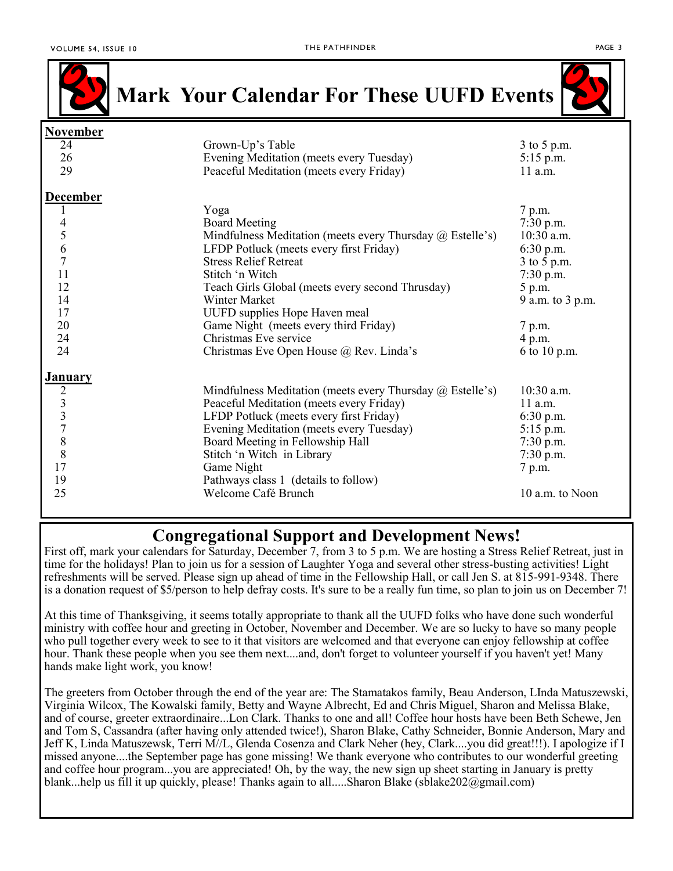

**Mark Your Calendar For These UUFD Events**



| <b>November</b>                            |                                                                  |                  |
|--------------------------------------------|------------------------------------------------------------------|------------------|
| 24                                         | Grown-Up's Table                                                 | 3 to 5 p.m.      |
| 26                                         | Evening Meditation (meets every Tuesday)                         | $5:15$ p.m.      |
| 29                                         | Peaceful Meditation (meets every Friday)                         | 11 a.m.          |
|                                            |                                                                  |                  |
| <b>December</b>                            |                                                                  |                  |
| 1                                          | Yoga                                                             | 7 p.m.           |
|                                            | <b>Board Meeting</b>                                             | $7:30$ p.m.      |
| $\begin{array}{c} 4 \\ 5 \\ 6 \end{array}$ | Mindfulness Meditation (meets every Thursday $\omega$ Estelle's) | 10:30 a.m.       |
|                                            | LFDP Potluck (meets every first Friday)                          | 6:30 p.m.        |
| $\overline{7}$                             | <b>Stress Relief Retreat</b>                                     | 3 to 5 p.m.      |
| 11                                         | Stitch 'n Witch                                                  | $7:30$ p.m.      |
| 12                                         | Teach Girls Global (meets every second Thrusday)                 | 5 p.m.           |
| 14                                         | Winter Market                                                    | 9 a.m. to 3 p.m. |
| 17                                         | UUFD supplies Hope Haven meal                                    |                  |
| 20                                         | Game Night (meets every third Friday)                            | 7 p.m.           |
| 24                                         | Christmas Eve service                                            | 4 p.m.           |
| 24                                         | Christmas Eve Open House @ Rev. Linda's                          | 6 to 10 p.m.     |
| <b>January</b>                             |                                                                  |                  |
|                                            | Mindfulness Meditation (meets every Thursday $\omega$ Estelle's) | 10:30 a.m.       |
| 233788                                     | Peaceful Meditation (meets every Friday)                         | $11$ a.m.        |
|                                            | LFDP Potluck (meets every first Friday)                          | $6:30$ p.m.      |
|                                            | Evening Meditation (meets every Tuesday)                         | $5:15$ p.m.      |
|                                            | Board Meeting in Fellowship Hall                                 | $7:30$ p.m.      |
|                                            | Stitch 'n Witch in Library                                       | $7:30$ p.m.      |
| 17                                         | Game Night                                                       | 7 p.m.           |
|                                            |                                                                  |                  |
| 19                                         | Pathways class 1 (details to follow)                             |                  |
| 25                                         | Welcome Café Brunch                                              | 10 a.m. to Noon  |

## **Congregational Support and Development News!**

First off, mark your calendars for Saturday, December 7, from 3 to 5 p.m. We are hosting a Stress Relief Retreat, just in time for the holidays! Plan to join us for a session of Laughter Yoga and several other stress-busting activities! Light refreshments will be served. Please sign up ahead of time in the Fellowship Hall, or call Jen S. at 815-991-9348. There is a donation request of \$5/person to help defray costs. It's sure to be a really fun time, so plan to join us on December 7!

At this time of Thanksgiving, it seems totally appropriate to thank all the UUFD folks who have done such wonderful ministry with coffee hour and greeting in October, November and December. We are so lucky to have so many people who pull together every week to see to it that visitors are welcomed and that everyone can enjoy fellowship at coffee hour. Thank these people when you see them next....and, don't forget to volunteer yourself if you haven't yet! Many hands make light work, you know!

The greeters from October through the end of the year are: The Stamatakos family, Beau Anderson, LInda Matuszewski, Virginia Wilcox, The Kowalski family, Betty and Wayne Albrecht, Ed and Chris Miguel, Sharon and Melissa Blake, and of course, greeter extraordinaire...Lon Clark. Thanks to one and all! Coffee hour hosts have been Beth Schewe, Jen and Tom S, Cassandra (after having only attended twice!), Sharon Blake, Cathy Schneider, Bonnie Anderson, Mary and Jeff K, Linda Matuszewsk, Terri M//L, Glenda Cosenza and Clark Neher (hey, Clark....you did great!!!). I apologize if I missed anyone....the September page has gone missing! We thank everyone who contributes to our wonderful greeting and coffee hour program...you are appreciated! Oh, by the way, the new sign up sheet starting in January is pretty blank...help us fill it up quickly, please! Thanks again to all.....Sharon Blake (sblake202@gmail.com)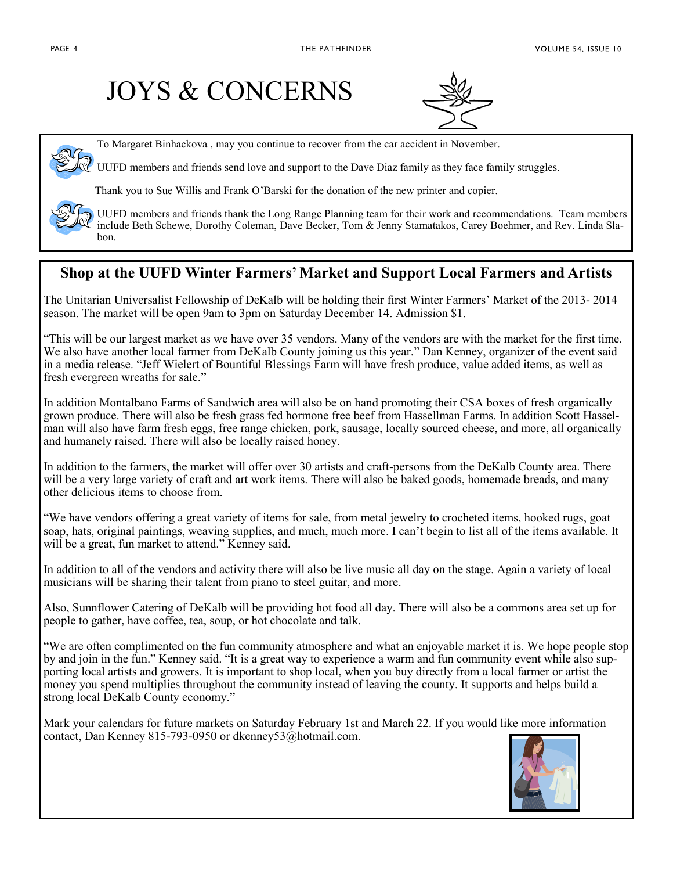## JOYS & CONCERNS



To Margaret Binhackova , may you continue to recover from the car accident in November.

UUFD members and friends send love and support to the Dave Diaz family as they face family struggles.

Thank you to Sue Willis and Frank O'Barski for the donation of the new printer and copier.



UUFD members and friends thank the Long Range Planning team for their work and recommendations. Team members include Beth Schewe, Dorothy Coleman, Dave Becker, Tom & Jenny Stamatakos, Carey Boehmer, and Rev. Linda Slabon.

### **Shop at the UUFD Winter Farmers' Market and Support Local Farmers and Artists**

The Unitarian Universalist Fellowship of DeKalb will be holding their first Winter Farmers' Market of the 2013- 2014 season. The market will be open 9am to 3pm on Saturday December 14. Admission \$1.

"This will be our largest market as we have over 35 vendors. Many of the vendors are with the market for the first time. We also have another local farmer from DeKalb County joining us this year." Dan Kenney, organizer of the event said in a media release. "Jeff Wielert of Bountiful Blessings Farm will have fresh produce, value added items, as well as fresh evergreen wreaths for sale."

In addition Montalbano Farms of Sandwich area will also be on hand promoting their CSA boxes of fresh organically grown produce. There will also be fresh grass fed hormone free beef from Hassellman Farms. In addition Scott Hasselman will also have farm fresh eggs, free range chicken, pork, sausage, locally sourced cheese, and more, all organically and humanely raised. There will also be locally raised honey.

In addition to the farmers, the market will offer over 30 artists and craft-persons from the DeKalb County area. There will be a very large variety of craft and art work items. There will also be baked goods, homemade breads, and many other delicious items to choose from.

"We have vendors offering a great variety of items for sale, from metal jewelry to crocheted items, hooked rugs, goat soap, hats, original paintings, weaving supplies, and much, much more. I can't begin to list all of the items available. It will be a great, fun market to attend." Kenney said.

In addition to all of the vendors and activity there will also be live music all day on the stage. Again a variety of local musicians will be sharing their talent from piano to steel guitar, and more.

Also, Sunnflower Catering of DeKalb will be providing hot food all day. There will also be a commons area set up for people to gather, have coffee, tea, soup, or hot chocolate and talk.

"We are often complimented on the fun community atmosphere and what an enjoyable market it is. We hope people stop by and join in the fun." Kenney said. "It is a great way to experience a warm and fun community event while also supporting local artists and growers. It is important to shop local, when you buy directly from a local farmer or artist the money you spend multiplies throughout the community instead of leaving the county. It supports and helps build a strong local DeKalb County economy."

Mark your calendars for future markets on Saturday February 1st and March 22. If you would like more information contact, Dan Kenney 815-793-0950 or [dkenney53@hotmail.com.](mailto:dkenney53@hotmail.com)

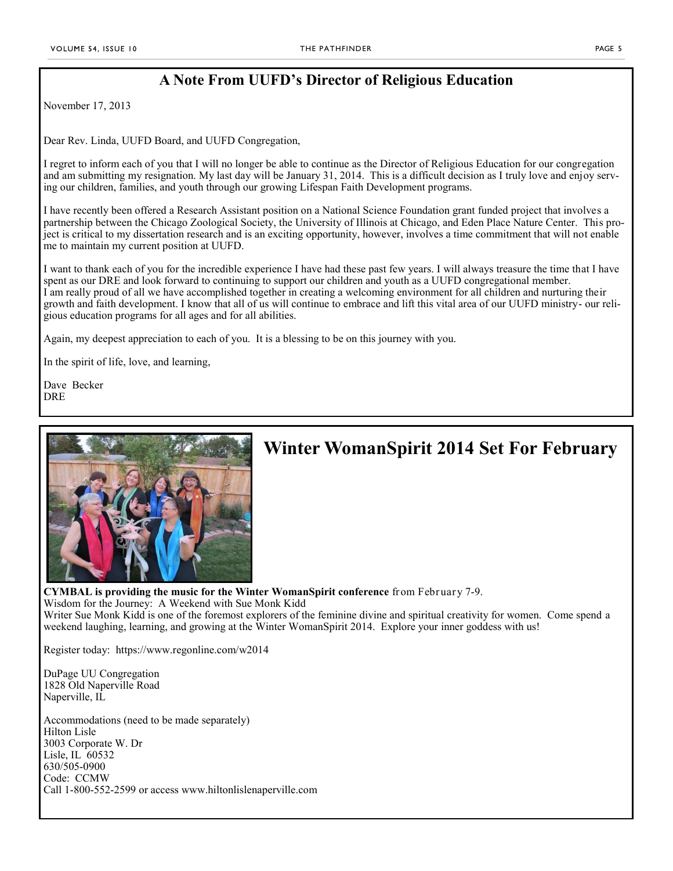## **A Note From UUFD's Director of Religious Education**

November 17, 2013

Dear Rev. Linda, UUFD Board, and UUFD Congregation,

I regret to inform each of you that I will no longer be able to continue as the Director of Religious Education for our congregation and am submitting my resignation. My last day will be January 31, 2014. This is a difficult decision as I truly love and enjoy serving our children, families, and youth through our growing Lifespan Faith Development programs.

I have recently been offered a Research Assistant position on a National Science Foundation grant funded project that involves a partnership between the Chicago Zoological Society, the University of Illinois at Chicago, and Eden Place Nature Center. This project is critical to my dissertation research and is an exciting opportunity, however, involves a time commitment that will not enable me to maintain my current position at UUFD.

I want to thank each of you for the incredible experience I have had these past few years. I will always treasure the time that I have spent as our DRE and look forward to continuing to support our children and youth as a UUFD congregational member. I am really proud of all we have accomplished together in creating a welcoming environment for all children and nurturing their growth and faith development. I know that all of us will continue to embrace and lift this vital area of our UUFD ministry- our religious education programs for all ages and for all abilities.

Again, my deepest appreciation to each of you. It is a blessing to be on this journey with you.

In the spirit of life, love, and learning,

Dave Becker DRE



## **Winter WomanSpirit 2014 Set For February**

Wisdom for the Journey: A Weekend with Sue Monk Kidd Writer Sue Monk Kidd is one of the foremost explorers of the feminine divine and spiritual creativity for women. Come spend a weekend laughing, learning, and growing at the Winter WomanSpirit 2014. Explore your inner goddess with us!

Register today: <https://www.regonline.com/w2014>

DuPage UU Congregation 1828 Old Naperville Road Naperville, IL

Accommodations (need to be made separately) Hilton Lisle 3003 Corporate W. Dr Lisle, IL 60532 630/505-0900 Code: CCMW Call 1-800-552-2599 or access www.hiltonlislenaperville.com